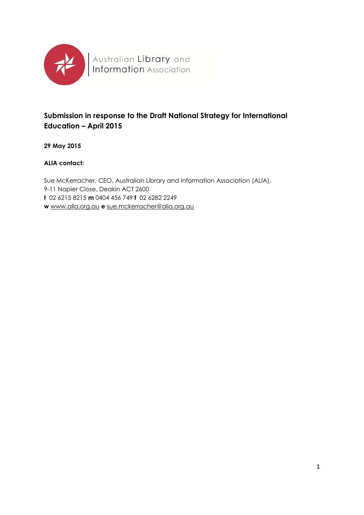

# **Submission in response to the Draft National Strategy for International Education – April 2015**

**29 May 2015**

#### **ALIA contact:**

Sue McKerracher, CEO, Australian Library and Information Association (ALIA), 9-11 Napier Close, Deakin ACT 2600 **t** 02 6215 8215 **m** 0404 456 749 **f** 02 6282 2249 **w** [www.alia.org.au](http://www.alia.org.au/) **e** [sue.mckerracher@alia.org.au](mailto:rob.miller@alia.org.au)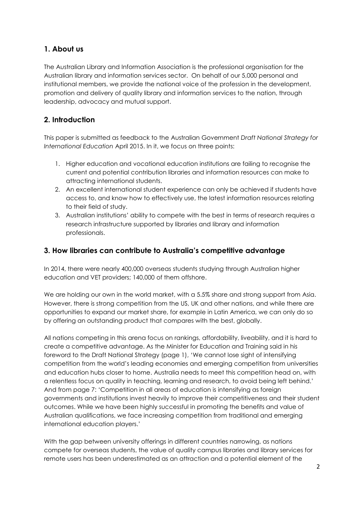## **1. About us**

The Australian Library and Information Association is the professional organisation for the Australian library and information services sector. On behalf of our 5,000 personal and institutional members, we provide the national voice of the profession in the development, promotion and delivery of quality library and information services to the nation, through leadership, advocacy and mutual support.

## **2. Introduction**

This paper is submitted as feedback to the Australian Government *Draft National Strategy for International Education* April 2015. In it, we focus on three points:

- 1. Higher education and vocational education institutions are failing to recognise the current and potential contribution libraries and information resources can make to attracting international students.
- 2. An excellent international student experience can only be achieved if students have access to, and know how to effectively use, the latest information resources relating to their field of study.
- 3. Australian institutions' ability to compete with the best in terms of research requires a research infrastructure supported by libraries and library and information professionals.

### **3. How libraries can contribute to Australia's competitive advantage**

In 2014, there were nearly 400,000 overseas students studying through Australian higher education and VET providers; 140,000 of them offshore.

We are holding our own in the world market, with a 5.5% share and strong support from Asia. However, there is strong competition from the US, UK and other nations, and while there are opportunities to expand our market share, for example in Latin America, we can only do so by offering an outstanding product that compares with the best, globally.

All nations competing in this arena focus on rankings, affordability, liveability, and it is hard to create a competitive advantage. As the Minister for Education and Training said in his foreword to the Draft National Strategy (page 1), 'We cannot lose sight of intensifying competition from the world's leading economies and emerging competition from universities and education hubs closer to home. Australia needs to meet this competition head on, with a relentless focus on quality in teaching, learning and research, to avoid being left behind.' And from page 7: 'Competition in all areas of education is intensifying as foreign governments and institutions invest heavily to improve their competitiveness and their student outcomes. While we have been highly successful in promoting the benefits and value of Australian qualifications, we face increasing competition from traditional and emerging international education players.'

With the gap between university offerings in different countries narrowing, as nations compete for overseas students, the value of quality campus libraries and library services for remote users has been underestimated as an attraction and a potential element of the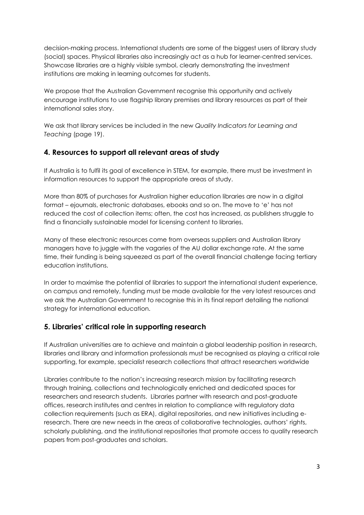decision-making process. International students are some of the biggest users of library study (social) spaces. Physical libraries also increasingly act as a hub for learner-centred services. Showcase libraries are a highly visible symbol, clearly demonstrating the investment institutions are making in learning outcomes for students.

We propose that the Australian Government recognise this opportunity and actively encourage institutions to use flagship library premises and library resources as part of their international sales story.

We ask that library services be included in the new *Quality Indicators for Learning and Teaching* (page 19).

#### **4. Resources to support all relevant areas of study**

If Australia is to fulfil its goal of excellence in STEM, for example, there must be investment in information resources to support the appropriate areas of study.

More than 80% of purchases for Australian higher education libraries are now in a digital format – ejournals, electronic databases, ebooks and so on. The move to 'e' has not reduced the cost of collection items; often, the cost has increased, as publishers struggle to find a financially sustainable model for licensing content to libraries.

Many of these electronic resources come from overseas suppliers and Australian library managers have to juggle with the vagaries of the AU dollar exchange rate. At the same time, their funding is being squeezed as part of the overall financial challenge facing tertiary education institutions.

In order to maximise the potential of libraries to support the international student experience, on campus and remotely, funding must be made available for the very latest resources and we ask the Australian Government to recognise this in its final report detailing the national strategy for international education.

#### **5. Libraries' critical role in supporting research**

If Australian universities are to achieve and maintain a global leadership position in research, libraries and library and information professionals must be recognised as playing a critical role supporting, for example, specialist research collections that attract researchers worldwide

Libraries contribute to the nation's increasing research mission by facilitating research through training, collections and technologically enriched and dedicated spaces for researchers and research students. Libraries partner with research and post-graduate offices, research institutes and centres in relation to compliance with regulatory data collection requirements (such as ERA), digital repositories, and new initiatives including eresearch. There are new needs in the areas of collaborative technologies, authors' rights, scholarly publishing, and the institutional repositories that promote access to quality research papers from post-graduates and scholars.